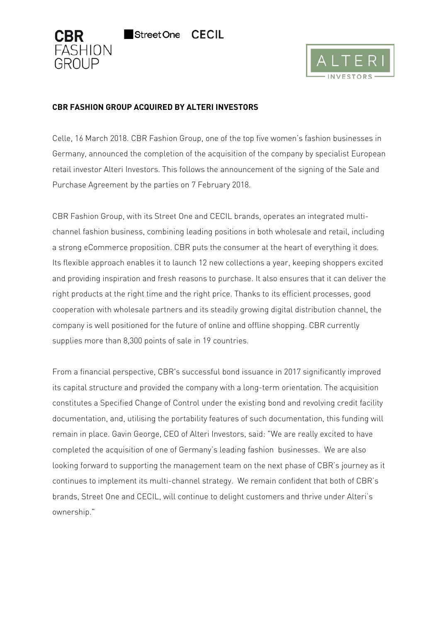



# **CBR FASHION GROUP ACQUIRED BY ALTERI INVESTORS**

**Street One** 

Celle, 16 March 2018. CBR Fashion Group, one of the top five women's fashion businesses in Germany, announced the completion of the acquisition of the company by specialist European retail investor Alteri Investors. This follows the announcement of the signing of the Sale and Purchase Agreement by the parties on 7 February 2018.

**CECIL** 

CBR Fashion Group, with its Street One and CECIL brands, operates an integrated multichannel fashion business, combining leading positions in both wholesale and retail, including a strong eCommerce proposition. CBR puts the consumer at the heart of everything it does. Its flexible approach enables it to launch 12 new collections a year, keeping shoppers excited and providing inspiration and fresh reasons to purchase. It also ensures that it can deliver the right products at the right time and the right price. Thanks to its efficient processes, good cooperation with wholesale partners and its steadily growing digital distribution channel, the company is well positioned for the future of online and offline shopping. CBR currently supplies more than 8,300 points of sale in 19 countries.

From a financial perspective, CBR's successful bond issuance in 2017 significantly improved its capital structure and provided the company with a long-term orientation. The acquisition constitutes a Specified Change of Control under the existing bond and revolving credit facility documentation, and, utilising the portability features of such documentation, this funding will remain in place. Gavin George, CEO of Alteri Investors, said: "We are really excited to have completed the acquisition of one of Germany's leading fashion businesses. We are also looking forward to supporting the management team on the next phase of CBR's journey as it continues to implement its multi-channel strategy. We remain confident that both of CBR's brands, Street One and CECIL, will continue to delight customers and thrive under Alteri's ownership."